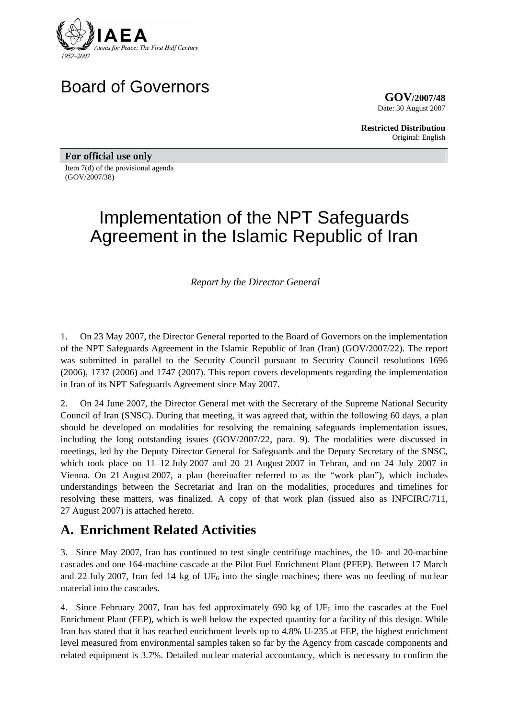

# Board of Governors

**GOV/2007/48** Date: 30 August 2007

**Restricted Distribution** Original: English

**For official use only**  Item 7(d) of the provisional agenda (GOV/2007/38)

# Implementation of the NPT Safeguards Agreement in the Islamic Republic of Iran

*Report by the Director General* 

1. On 23 May 2007, the Director General reported to the Board of Governors on the implementation of the NPT Safeguards Agreement in the Islamic Republic of Iran (Iran) (GOV/2007/22). The report was submitted in parallel to the Security Council pursuant to Security Council resolutions 1696 (2006), 1737 (2006) and 1747 (2007). This report covers developments regarding the implementation in Iran of its NPT Safeguards Agreement since May 2007.

2. On 24 June 2007, the Director General met with the Secretary of the Supreme National Security Council of Iran (SNSC). During that meeting, it was agreed that, within the following 60 days, a plan should be developed on modalities for resolving the remaining safeguards implementation issues, including the long outstanding issues (GOV/2007/22, para. 9). The modalities were discussed in meetings, led by the Deputy Director General for Safeguards and the Deputy Secretary of the SNSC, which took place on 11–12 July 2007 and 20–21 August 2007 in Tehran, and on 24 July 2007 in Vienna. On 21 August 2007, a plan (hereinafter referred to as the "work plan"), which includes understandings between the Secretariat and Iran on the modalities, procedures and timelines for resolving these matters, was finalized. A copy of that work plan (issued also as INFCIRC/711, 27 August 2007) is attached hereto.

# **A. Enrichment Related Activities**

3. Since May 2007, Iran has continued to test single centrifuge machines, the 10- and 20-machine cascades and one 164-machine cascade at the Pilot Fuel Enrichment Plant (PFEP). Between 17 March and 22 July 2007, Iran fed 14 kg of  $UF_6$  into the single machines; there was no feeding of nuclear material into the cascades.

4. Since February 2007, Iran has fed approximately 690 kg of  $UF_6$  into the cascades at the Fuel Enrichment Plant (FEP), which is well below the expected quantity for a facility of this design. While Iran has stated that it has reached enrichment levels up to 4.8% U-235 at FEP, the highest enrichment level measured from environmental samples taken so far by the Agency from cascade components and related equipment is 3.7%. Detailed nuclear material accountancy, which is necessary to confirm the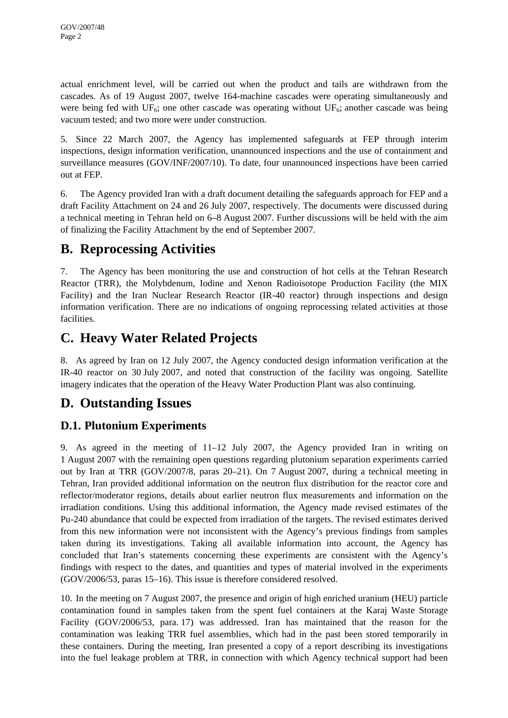actual enrichment level, will be carried out when the product and tails are withdrawn from the cascades. As of 19 August 2007, twelve 164-machine cascades were operating simultaneously and were being fed with  $UF_6$ ; one other cascade was operating without  $UF_6$ ; another cascade was being vacuum tested; and two more were under construction.

5. Since 22 March 2007, the Agency has implemented safeguards at FEP through interim inspections, design information verification, unannounced inspections and the use of containment and surveillance measures (GOV/INF/2007/10). To date, four unannounced inspections have been carried out at FEP.

6. The Agency provided Iran with a draft document detailing the safeguards approach for FEP and a draft Facility Attachment on 24 and 26 July 2007, respectively. The documents were discussed during a technical meeting in Tehran held on 6–8 August 2007. Further discussions will be held with the aim of finalizing the Facility Attachment by the end of September 2007.

# **B. Reprocessing Activities**

7. The Agency has been monitoring the use and construction of hot cells at the Tehran Research Reactor (TRR), the Molybdenum, Iodine and Xenon Radioisotope Production Facility (the MIX Facility) and the Iran Nuclear Research Reactor (IR-40 reactor) through inspections and design information verification. There are no indications of ongoing reprocessing related activities at those facilities.

# **C. Heavy Water Related Projects**

8. As agreed by Iran on 12 July 2007, the Agency conducted design information verification at the IR-40 reactor on 30 July 2007, and noted that construction of the facility was ongoing. Satellite imagery indicates that the operation of the Heavy Water Production Plant was also continuing.

# **D. Outstanding Issues**

# **D.1. Plutonium Experiments**

9. As agreed in the meeting of 11–12 July 2007, the Agency provided Iran in writing on 1 August 2007 with the remaining open questions regarding plutonium separation experiments carried out by Iran at TRR (GOV/2007/8, paras 20–21). On 7 August 2007, during a technical meeting in Tehran, Iran provided additional information on the neutron flux distribution for the reactor core and reflector/moderator regions, details about earlier neutron flux measurements and information on the irradiation conditions. Using this additional information, the Agency made revised estimates of the Pu-240 abundance that could be expected from irradiation of the targets. The revised estimates derived from this new information were not inconsistent with the Agency's previous findings from samples taken during its investigations. Taking all available information into account, the Agency has concluded that Iran's statements concerning these experiments are consistent with the Agency's findings with respect to the dates, and quantities and types of material involved in the experiments (GOV/2006/53, paras 15–16). This issue is therefore considered resolved.

10. In the meeting on 7 August 2007, the presence and origin of high enriched uranium (HEU) particle contamination found in samples taken from the spent fuel containers at the Karaj Waste Storage Facility (GOV/2006/53, para. 17) was addressed. Iran has maintained that the reason for the contamination was leaking TRR fuel assemblies, which had in the past been stored temporarily in these containers. During the meeting, Iran presented a copy of a report describing its investigations into the fuel leakage problem at TRR, in connection with which Agency technical support had been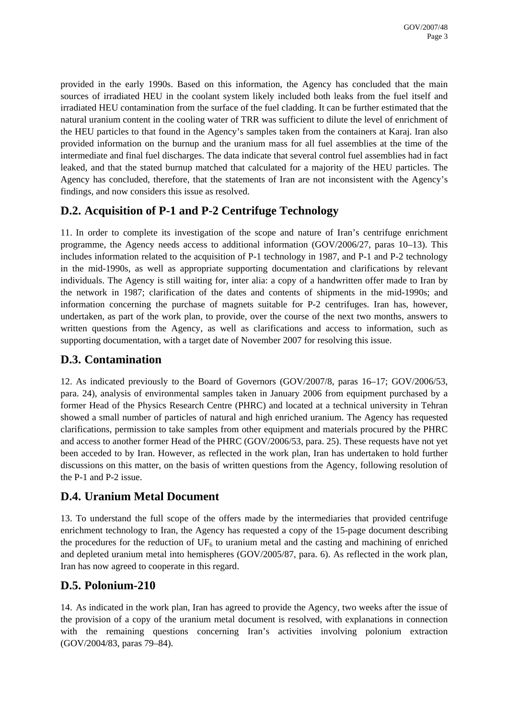provided in the early 1990s. Based on this information, the Agency has concluded that the main sources of irradiated HEU in the coolant system likely included both leaks from the fuel itself and irradiated HEU contamination from the surface of the fuel cladding. It can be further estimated that the natural uranium content in the cooling water of TRR was sufficient to dilute the level of enrichment of the HEU particles to that found in the Agency's samples taken from the containers at Karaj. Iran also provided information on the burnup and the uranium mass for all fuel assemblies at the time of the intermediate and final fuel discharges. The data indicate that several control fuel assemblies had in fact leaked, and that the stated burnup matched that calculated for a majority of the HEU particles. The Agency has concluded, therefore, that the statements of Iran are not inconsistent with the Agency's findings, and now considers this issue as resolved.

# **D.2. Acquisition of P-1 and P-2 Centrifuge Technology**

11. In order to complete its investigation of the scope and nature of Iran's centrifuge enrichment programme, the Agency needs access to additional information (GOV/2006/27, paras 10–13). This includes information related to the acquisition of P-1 technology in 1987, and P-1 and P-2 technology in the mid-1990s, as well as appropriate supporting documentation and clarifications by relevant individuals. The Agency is still waiting for, inter alia: a copy of a handwritten offer made to Iran by the network in 1987; clarification of the dates and contents of shipments in the mid-1990s; and information concerning the purchase of magnets suitable for P-2 centrifuges. Iran has, however, undertaken, as part of the work plan, to provide, over the course of the next two months, answers to written questions from the Agency, as well as clarifications and access to information, such as supporting documentation, with a target date of November 2007 for resolving this issue.

## **D.3. Contamination**

12. As indicated previously to the Board of Governors (GOV/2007/8, paras 16–17; GOV/2006/53, para. 24), analysis of environmental samples taken in January 2006 from equipment purchased by a former Head of the Physics Research Centre (PHRC) and located at a technical university in Tehran showed a small number of particles of natural and high enriched uranium. The Agency has requested clarifications, permission to take samples from other equipment and materials procured by the PHRC and access to another former Head of the PHRC (GOV/2006/53, para. 25). These requests have not yet been acceded to by Iran. However, as reflected in the work plan, Iran has undertaken to hold further discussions on this matter, on the basis of written questions from the Agency, following resolution of the P-1 and P-2 issue.

## **D.4. Uranium Metal Document**

13. To understand the full scope of the offers made by the intermediaries that provided centrifuge enrichment technology to Iran, the Agency has requested a copy of the 15-page document describing the procedures for the reduction of  $UF_6$  to uranium metal and the casting and machining of enriched and depleted uranium metal into hemispheres (GOV/2005/87, para. 6). As reflected in the work plan, Iran has now agreed to cooperate in this regard.

# **D.5. Polonium-210**

14. As indicated in the work plan, Iran has agreed to provide the Agency, two weeks after the issue of the provision of a copy of the uranium metal document is resolved, with explanations in connection with the remaining questions concerning Iran's activities involving polonium extraction (GOV/2004/83, paras 79–84).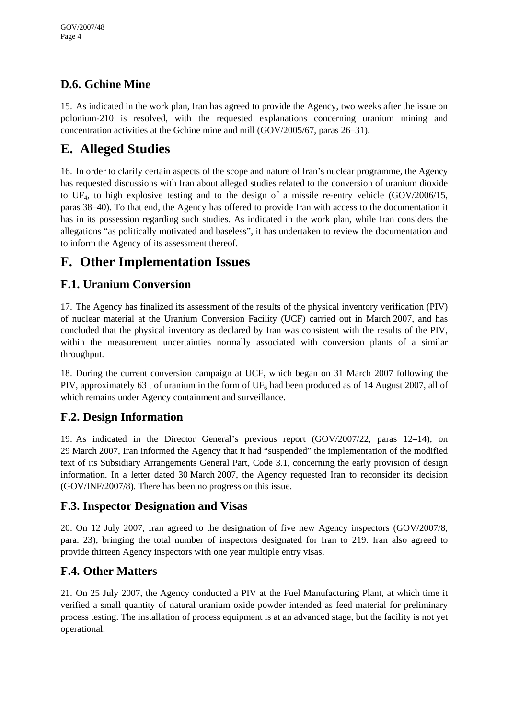# **D.6. Gchine Mine**

15. As indicated in the work plan, Iran has agreed to provide the Agency, two weeks after the issue on polonium-210 is resolved, with the requested explanations concerning uranium mining and concentration activities at the Gchine mine and mill (GOV/2005/67, paras 26–31).

# **E. Alleged Studies**

16. In order to clarify certain aspects of the scope and nature of Iran's nuclear programme, the Agency has requested discussions with Iran about alleged studies related to the conversion of uranium dioxide to UF4, to high explosive testing and to the design of a missile re-entry vehicle (GOV/2006/15, paras 38–40). To that end, the Agency has offered to provide Iran with access to the documentation it has in its possession regarding such studies. As indicated in the work plan, while Iran considers the allegations "as politically motivated and baseless", it has undertaken to review the documentation and to inform the Agency of its assessment thereof.

# **F. Other Implementation Issues**

# **F.1. Uranium Conversion**

17. The Agency has finalized its assessment of the results of the physical inventory verification (PIV) of nuclear material at the Uranium Conversion Facility (UCF) carried out in March 2007, and has concluded that the physical inventory as declared by Iran was consistent with the results of the PIV, within the measurement uncertainties normally associated with conversion plants of a similar throughput.

18. During the current conversion campaign at UCF, which began on 31 March 2007 following the PIV, approximately 63 t of uranium in the form of  $UF_6$  had been produced as of 14 August 2007, all of which remains under Agency containment and surveillance.

# **F.2. Design Information**

19. As indicated in the Director General's previous report (GOV/2007/22, paras 12–14), on 29 March 2007, Iran informed the Agency that it had "suspended" the implementation of the modified text of its Subsidiary Arrangements General Part, Code 3.1, concerning the early provision of design information. In a letter dated 30 March 2007, the Agency requested Iran to reconsider its decision (GOV/INF/2007/8). There has been no progress on this issue.

## **F.3. Inspector Designation and Visas**

20. On 12 July 2007, Iran agreed to the designation of five new Agency inspectors (GOV/2007/8, para. 23), bringing the total number of inspectors designated for Iran to 219. Iran also agreed to provide thirteen Agency inspectors with one year multiple entry visas.

# **F.4. Other Matters**

21. On 25 July 2007, the Agency conducted a PIV at the Fuel Manufacturing Plant, at which time it verified a small quantity of natural uranium oxide powder intended as feed material for preliminary process testing. The installation of process equipment is at an advanced stage, but the facility is not yet operational.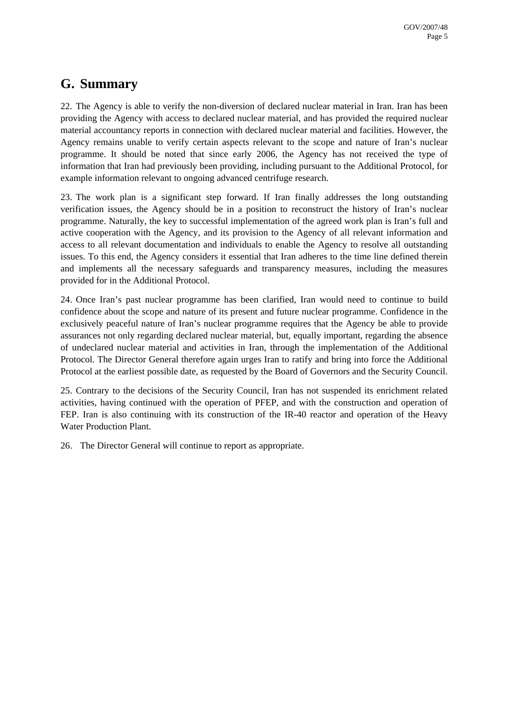# **G. Summary**

22. The Agency is able to verify the non-diversion of declared nuclear material in Iran. Iran has been providing the Agency with access to declared nuclear material, and has provided the required nuclear material accountancy reports in connection with declared nuclear material and facilities. However, the Agency remains unable to verify certain aspects relevant to the scope and nature of Iran's nuclear programme. It should be noted that since early 2006, the Agency has not received the type of information that Iran had previously been providing, including pursuant to the Additional Protocol, for example information relevant to ongoing advanced centrifuge research.

23. The work plan is a significant step forward. If Iran finally addresses the long outstanding verification issues, the Agency should be in a position to reconstruct the history of Iran's nuclear programme. Naturally, the key to successful implementation of the agreed work plan is Iran's full and active cooperation with the Agency, and its provision to the Agency of all relevant information and access to all relevant documentation and individuals to enable the Agency to resolve all outstanding issues. To this end, the Agency considers it essential that Iran adheres to the time line defined therein and implements all the necessary safeguards and transparency measures, including the measures provided for in the Additional Protocol.

24. Once Iran's past nuclear programme has been clarified, Iran would need to continue to build confidence about the scope and nature of its present and future nuclear programme. Confidence in the exclusively peaceful nature of Iran's nuclear programme requires that the Agency be able to provide assurances not only regarding declared nuclear material, but, equally important, regarding the absence of undeclared nuclear material and activities in Iran, through the implementation of the Additional Protocol. The Director General therefore again urges Iran to ratify and bring into force the Additional Protocol at the earliest possible date, as requested by the Board of Governors and the Security Council.

25. Contrary to the decisions of the Security Council, Iran has not suspended its enrichment related activities, having continued with the operation of PFEP, and with the construction and operation of FEP. Iran is also continuing with its construction of the IR-40 reactor and operation of the Heavy Water Production Plant.

26. The Director General will continue to report as appropriate.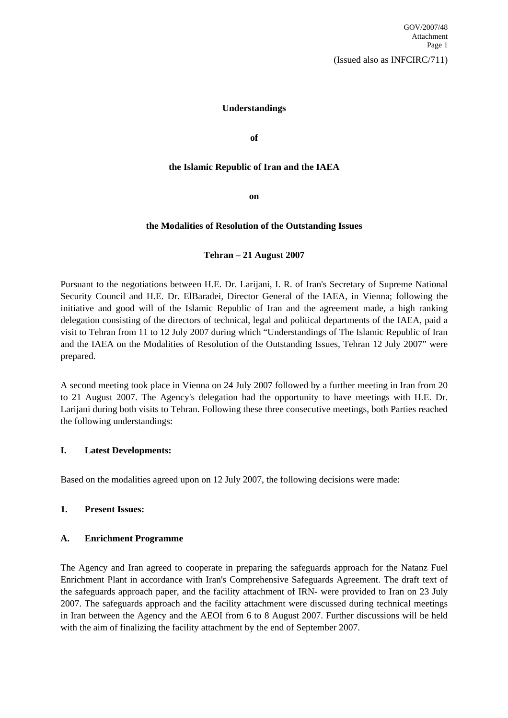#### **Understandings**

**of** 

#### **the Islamic Republic of Iran and the IAEA**

**on** 

#### **the Modalities of Resolution of the Outstanding Issues**

#### **Tehran – 21 August 2007**

Pursuant to the negotiations between H.E. Dr. Larijani, I. R. of Iran's Secretary of Supreme National Security Council and H.E. Dr. ElBaradei, Director General of the IAEA, in Vienna; following the initiative and good will of the Islamic Republic of Iran and the agreement made, a high ranking delegation consisting of the directors of technical, legal and political departments of the IAEA, paid a visit to Tehran from 11 to 12 July 2007 during which "Understandings of The Islamic Republic of Iran and the IAEA on the Modalities of Resolution of the Outstanding Issues, Tehran 12 July 2007" were prepared.

A second meeting took place in Vienna on 24 July 2007 followed by a further meeting in Iran from 20 to 21 August 2007. The Agency's delegation had the opportunity to have meetings with H.E. Dr. Larijani during both visits to Tehran. Following these three consecutive meetings, both Parties reached the following understandings:

#### **I. Latest Developments:**

Based on the modalities agreed upon on 12 July 2007, the following decisions were made:

#### **1. Present Issues:**

#### **A. Enrichment Programme**

The Agency and Iran agreed to cooperate in preparing the safeguards approach for the Natanz Fuel Enrichment Plant in accordance with Iran's Comprehensive Safeguards Agreement. The draft text of the safeguards approach paper, and the facility attachment of IRN- were provided to Iran on 23 July 2007. The safeguards approach and the facility attachment were discussed during technical meetings in Iran between the Agency and the AEOI from 6 to 8 August 2007. Further discussions will be held with the aim of finalizing the facility attachment by the end of September 2007.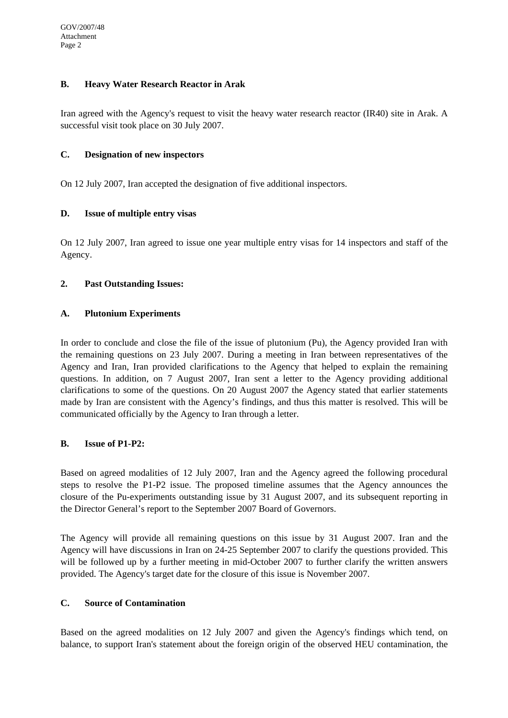### **B. Heavy Water Research Reactor in Arak**

Iran agreed with the Agency's request to visit the heavy water research reactor (IR40) site in Arak. A successful visit took place on 30 July 2007.

### **C. Designation of new inspectors**

On 12 July 2007, Iran accepted the designation of five additional inspectors.

## **D. Issue of multiple entry visas**

On 12 July 2007, Iran agreed to issue one year multiple entry visas for 14 inspectors and staff of the Agency.

## **2. Past Outstanding Issues:**

## **A. Plutonium Experiments**

In order to conclude and close the file of the issue of plutonium (Pu), the Agency provided Iran with the remaining questions on 23 July 2007. During a meeting in Iran between representatives of the Agency and Iran, Iran provided clarifications to the Agency that helped to explain the remaining questions. In addition, on 7 August 2007, Iran sent a letter to the Agency providing additional clarifications to some of the questions. On 20 August 2007 the Agency stated that earlier statements made by Iran are consistent with the Agency's findings, and thus this matter is resolved. This will be communicated officially by the Agency to Iran through a letter.

### **B. Issue of P1-P2:**

Based on agreed modalities of 12 July 2007, Iran and the Agency agreed the following procedural steps to resolve the P1-P2 issue. The proposed timeline assumes that the Agency announces the closure of the Pu-experiments outstanding issue by 31 August 2007, and its subsequent reporting in the Director General's report to the September 2007 Board of Governors.

The Agency will provide all remaining questions on this issue by 31 August 2007. Iran and the Agency will have discussions in Iran on 24-25 September 2007 to clarify the questions provided. This will be followed up by a further meeting in mid-October 2007 to further clarify the written answers provided. The Agency's target date for the closure of this issue is November 2007.

### **C. Source of Contamination**

Based on the agreed modalities on 12 July 2007 and given the Agency's findings which tend, on balance, to support Iran's statement about the foreign origin of the observed HEU contamination, the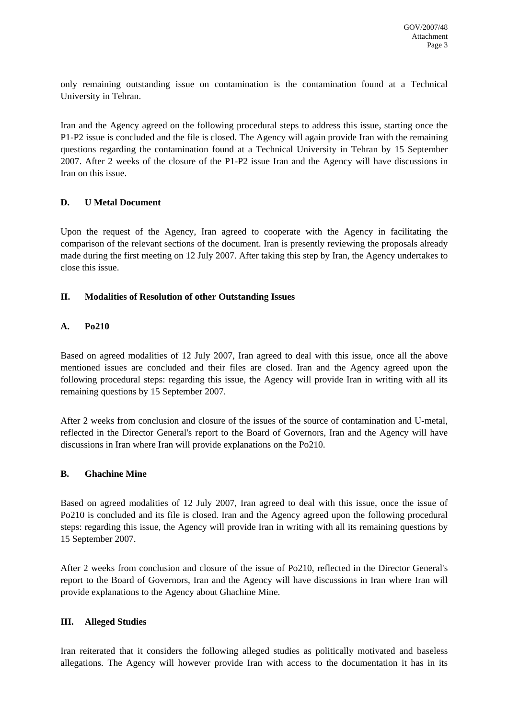only remaining outstanding issue on contamination is the contamination found at a Technical University in Tehran.

Iran and the Agency agreed on the following procedural steps to address this issue, starting once the P1-P2 issue is concluded and the file is closed. The Agency will again provide Iran with the remaining questions regarding the contamination found at a Technical University in Tehran by 15 September 2007. After 2 weeks of the closure of the P1-P2 issue Iran and the Agency will have discussions in Iran on this issue.

### **D. U Metal Document**

Upon the request of the Agency, Iran agreed to cooperate with the Agency in facilitating the comparison of the relevant sections of the document. Iran is presently reviewing the proposals already made during the first meeting on 12 July 2007. After taking this step by Iran, the Agency undertakes to close this issue.

### **II. Modalities of Resolution of other Outstanding Issues**

## **A. Po210**

Based on agreed modalities of 12 July 2007, Iran agreed to deal with this issue, once all the above mentioned issues are concluded and their files are closed. Iran and the Agency agreed upon the following procedural steps: regarding this issue, the Agency will provide Iran in writing with all its remaining questions by 15 September 2007.

After 2 weeks from conclusion and closure of the issues of the source of contamination and U-metal, reflected in the Director General's report to the Board of Governors, Iran and the Agency will have discussions in Iran where Iran will provide explanations on the Po210.

### **B. Ghachine Mine**

Based on agreed modalities of 12 July 2007, Iran agreed to deal with this issue, once the issue of Po210 is concluded and its file is closed. Iran and the Agency agreed upon the following procedural steps: regarding this issue, the Agency will provide Iran in writing with all its remaining questions by 15 September 2007.

After 2 weeks from conclusion and closure of the issue of Po210, reflected in the Director General's report to the Board of Governors, Iran and the Agency will have discussions in Iran where Iran will provide explanations to the Agency about Ghachine Mine.

### **III. Alleged Studies**

Iran reiterated that it considers the following alleged studies as politically motivated and baseless allegations. The Agency will however provide Iran with access to the documentation it has in its